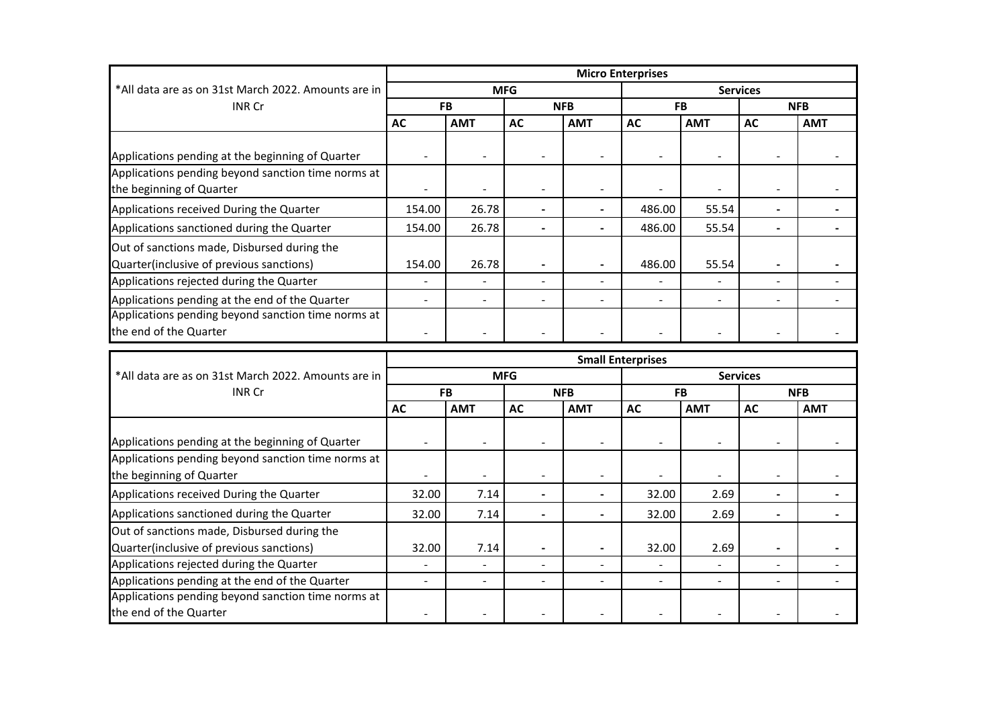|                                                                                         | <b>Micro Enterprises</b> |                |                |                 |                          |                |                 |            |  |
|-----------------------------------------------------------------------------------------|--------------------------|----------------|----------------|-----------------|--------------------------|----------------|-----------------|------------|--|
| *All data are as on 31st March 2022. Amounts are in<br><b>INR Cr</b>                    | <b>MFG</b>               |                |                | <b>Services</b> |                          |                |                 |            |  |
|                                                                                         | <b>FB</b>                |                | <b>NFB</b>     |                 | <b>FB</b>                |                | <b>NFB</b>      |            |  |
|                                                                                         | <b>AC</b>                | <b>AMT</b>     | <b>AC</b>      | <b>AMT</b>      | <b>AC</b>                | <b>AMT</b>     | <b>AC</b>       | <b>AMT</b> |  |
| Applications pending at the beginning of Quarter                                        |                          |                |                |                 |                          |                |                 |            |  |
| Applications pending beyond sanction time norms at                                      |                          |                |                |                 |                          |                |                 |            |  |
| the beginning of Quarter                                                                |                          |                |                |                 |                          |                |                 |            |  |
| Applications received During the Quarter                                                | 154.00                   | 26.78          | $\blacksquare$ | $\blacksquare$  | 486.00                   | 55.54          | $\blacksquare$  |            |  |
| Applications sanctioned during the Quarter                                              | 154.00                   | 26.78          |                |                 | 486.00                   | 55.54          |                 |            |  |
| Out of sanctions made, Disbursed during the<br>Quarter(inclusive of previous sanctions) | 154.00                   | 26.78          | $\blacksquare$ | ٠               | 486.00                   | 55.54          |                 |            |  |
| Applications rejected during the Quarter                                                |                          |                | $\overline{a}$ | $\overline{a}$  |                          |                |                 |            |  |
| Applications pending at the end of the Quarter                                          |                          | $\overline{a}$ |                | $\overline{a}$  | $\blacksquare$           | $\overline{a}$ |                 |            |  |
| Applications pending beyond sanction time norms at                                      |                          |                |                |                 |                          |                |                 |            |  |
| the end of the Quarter                                                                  |                          |                |                |                 |                          |                |                 |            |  |
|                                                                                         |                          |                |                |                 |                          |                |                 |            |  |
|                                                                                         |                          |                |                |                 |                          |                |                 |            |  |
| *All data are as on 31st March 2022. Amounts are in                                     |                          |                | <b>MFG</b>     |                 | <b>Small Enterprises</b> |                | <b>Services</b> |            |  |
| <b>INR Cr</b>                                                                           |                          | <b>FB</b>      |                | <b>NFB</b>      |                          | <b>FB</b>      |                 | <b>NFB</b> |  |
|                                                                                         | <b>AC</b>                | <b>AMT</b>     | <b>AC</b>      | <b>AMT</b>      | <b>AC</b>                | <b>AMT</b>     | <b>AC</b>       | <b>AMT</b> |  |
| Applications pending at the beginning of Quarter                                        |                          |                |                |                 | $\overline{\phantom{a}}$ |                |                 |            |  |
| Applications pending beyond sanction time norms at<br>the beginning of Quarter          |                          |                | $\overline{a}$ | $\sim$          |                          |                |                 |            |  |
| Applications received During the Quarter                                                | 32.00                    | 7.14           | $\blacksquare$ | $\blacksquare$  | 32.00                    | 2.69           | $\blacksquare$  |            |  |
| Applications sanctioned during the Quarter                                              | 32.00                    | 7.14           |                |                 | 32.00                    | 2.69           |                 |            |  |
| Out of sanctions made, Disbursed during the                                             |                          |                |                |                 |                          |                |                 |            |  |
| Quarter(inclusive of previous sanctions)                                                | 32.00                    | 7.14           |                |                 | 32.00                    | 2.69           |                 |            |  |
| Applications rejected during the Quarter                                                |                          |                |                | $\blacksquare$  |                          |                |                 |            |  |
| Applications pending at the end of the Quarter                                          |                          |                |                |                 | $\overline{a}$           | L.             |                 |            |  |
| Applications pending beyond sanction time norms at<br>the end of the Quarter            |                          |                |                |                 |                          |                |                 |            |  |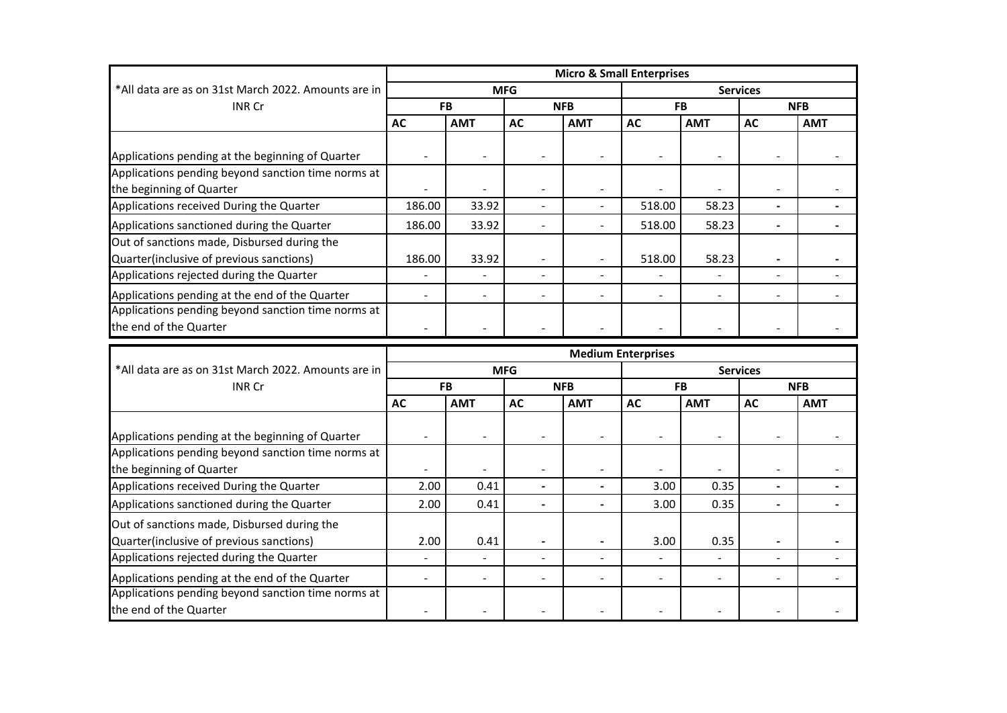|                                                                                                                                     | <b>Micro &amp; Small Enterprises</b> |                          |                                  |                                            |                 |                              |                                  |            |  |
|-------------------------------------------------------------------------------------------------------------------------------------|--------------------------------------|--------------------------|----------------------------------|--------------------------------------------|-----------------|------------------------------|----------------------------------|------------|--|
| *All data are as on 31st March 2022. Amounts are in                                                                                 | <b>MFG</b>                           |                          |                                  |                                            | <b>Services</b> |                              |                                  |            |  |
| <b>INR Cr</b>                                                                                                                       | <b>FB</b>                            |                          | <b>NFB</b>                       |                                            | <b>FB</b>       |                              | <b>NFB</b>                       |            |  |
|                                                                                                                                     | <b>AC</b>                            | <b>AMT</b>               | <b>AC</b>                        | <b>AMT</b>                                 | <b>AC</b>       | <b>AMT</b>                   | <b>AC</b>                        | <b>AMT</b> |  |
| Applications pending at the beginning of Quarter                                                                                    |                                      |                          |                                  |                                            |                 |                              |                                  |            |  |
| Applications pending beyond sanction time norms at<br>the beginning of Quarter                                                      |                                      |                          |                                  |                                            |                 |                              |                                  |            |  |
| Applications received During the Quarter                                                                                            | 186.00                               | 33.92                    |                                  |                                            | 518.00          | 58.23                        |                                  |            |  |
| Applications sanctioned during the Quarter                                                                                          | 186.00                               | 33.92                    |                                  |                                            | 518.00          | 58.23                        | $\blacksquare$                   |            |  |
| Out of sanctions made, Disbursed during the<br>Quarter(inclusive of previous sanctions)<br>Applications rejected during the Quarter | 186.00                               | 33.92<br>$\blacksquare$  | $\blacksquare$<br>$\blacksquare$ | $\overline{\phantom{a}}$<br>$\blacksquare$ | 518.00          | 58.23                        | $\blacksquare$<br>$\blacksquare$ |            |  |
| Applications pending at the end of the Quarter                                                                                      |                                      |                          |                                  |                                            |                 |                              |                                  |            |  |
| Applications pending beyond sanction time norms at<br>the end of the Quarter                                                        |                                      |                          |                                  |                                            |                 |                              |                                  |            |  |
|                                                                                                                                     | <b>Medium Enterprises</b>            |                          |                                  |                                            |                 |                              |                                  |            |  |
| *All data are as on 31st March 2022. Amounts are in                                                                                 | <b>MFG</b>                           |                          |                                  |                                            | <b>Services</b> |                              |                                  |            |  |
| <b>INR Cr</b>                                                                                                                       | <b>FB</b>                            |                          | <b>NFB</b>                       |                                            | <b>FB</b>       |                              | <b>NFB</b>                       |            |  |
|                                                                                                                                     | <b>AC</b>                            | <b>AMT</b>               | <b>AC</b>                        | <b>AMT</b>                                 | <b>AC</b>       | <b>AMT</b>                   | <b>AC</b>                        | <b>AMT</b> |  |
| Applications pending at the beginning of Quarter                                                                                    |                                      |                          |                                  |                                            |                 |                              |                                  |            |  |
| Applications pending beyond sanction time norms at<br>the beginning of Quarter                                                      |                                      |                          |                                  |                                            |                 |                              |                                  |            |  |
|                                                                                                                                     |                                      |                          |                                  |                                            |                 |                              |                                  |            |  |
| Applications received During the Quarter                                                                                            | 2.00                                 | 0.41                     | $\blacksquare$                   |                                            | 3.00            | 0.35                         | $\blacksquare$                   |            |  |
| Applications sanctioned during the Quarter                                                                                          | 2.00                                 | 0.41                     |                                  |                                            | 3.00            | 0.35                         |                                  |            |  |
| Out of sanctions made, Disbursed during the<br>Quarter(inclusive of previous sanctions)                                             | 2.00                                 | 0.41                     |                                  |                                            | 3.00            | 0.35                         |                                  |            |  |
| Applications rejected during the Quarter                                                                                            | $\overline{\phantom{a}}$             | $\overline{\phantom{a}}$ | $\blacksquare$                   | $\overline{\phantom{a}}$                   |                 | $\qquad \qquad \blacksquare$ | $\blacksquare$                   |            |  |